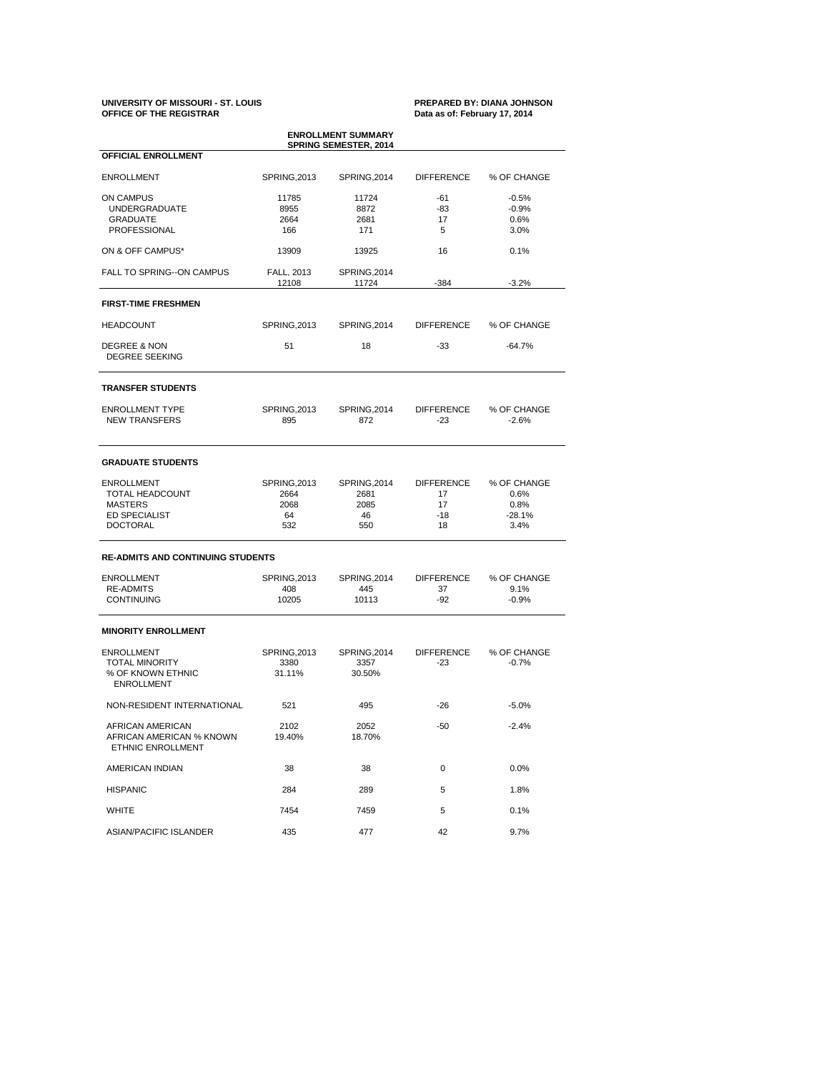## **UNIVERSITY OF MISSOURI - ST. LOUIS PREPARED BY: DIANA JOHNSON OFFICE OF THE REGISTRAR Data as of: February 17, 2014**

| <b>ENROLLMENT SUMMARY</b><br><b>SPRING SEMESTER, 2014</b>                                                |                                                  |                                           |                                              |                                                 |  |  |  |  |  |
|----------------------------------------------------------------------------------------------------------|--------------------------------------------------|-------------------------------------------|----------------------------------------------|-------------------------------------------------|--|--|--|--|--|
| <b>OFFICIAL ENROLLMENT</b>                                                                               |                                                  |                                           |                                              |                                                 |  |  |  |  |  |
| <b>ENROLLMENT</b>                                                                                        | SPRING, 2013                                     | SPRING, 2014                              | DIFFERENCE                                   | % OF CHANGE                                     |  |  |  |  |  |
| ON CAMPUS<br><b>UNDERGRADUATE</b><br><b>GRADUATE</b><br><b>PROFESSIONAL</b>                              | 11785<br>8955<br>2664<br>166                     | 11724<br>8872<br>2681<br>171              | -61<br>-83<br>17<br>5                        | $-0.5%$<br>$-0.9%$<br>0.6%<br>3.0%              |  |  |  |  |  |
| ON & OFF CAMPUS*                                                                                         | 13909                                            | 13925                                     | 16                                           | 0.1%                                            |  |  |  |  |  |
| FALL TO SPRING--ON CAMPUS                                                                                | FALL, 2013<br>12108                              | SPRING, 2014<br>11724                     |                                              | $-3.2%$                                         |  |  |  |  |  |
| <b>FIRST-TIME FRESHMEN</b>                                                                               |                                                  |                                           |                                              |                                                 |  |  |  |  |  |
| <b>HEADCOUNT</b>                                                                                         | SPRING, 2013                                     | SPRING, 2014                              | <b>DIFFERENCE</b>                            | % OF CHANGE                                     |  |  |  |  |  |
| <b>DEGREE &amp; NON</b><br>DEGREE SEEKING                                                                | 51                                               | 18                                        | $-33$                                        | $-64.7%$                                        |  |  |  |  |  |
| <b>TRANSFER STUDENTS</b>                                                                                 |                                                  |                                           |                                              |                                                 |  |  |  |  |  |
| <b>ENROLLMENT TYPE</b><br><b>NEW TRANSFERS</b>                                                           | SPRING, 2013<br>895                              | SPRING, 2014<br>872                       | DIFFERENCE<br>-23                            | % OF CHANGE<br>$-2.6%$                          |  |  |  |  |  |
| <b>GRADUATE STUDENTS</b>                                                                                 |                                                  |                                           |                                              |                                                 |  |  |  |  |  |
| <b>ENROLLMENT</b><br><b>TOTAL HEADCOUNT</b><br><b>MASTERS</b><br><b>ED SPECIALIST</b><br><b>DOCTORAL</b> | <b>SPRING, 2013</b><br>2664<br>2068<br>64<br>532 | SPRING, 2014<br>2681<br>2085<br>46<br>550 | <b>DIFFERENCE</b><br>17<br>17<br>$-18$<br>18 | % OF CHANGE<br>0.6%<br>0.8%<br>$-28.1%$<br>3.4% |  |  |  |  |  |
| <b>RE-ADMITS AND CONTINUING STUDENTS</b>                                                                 |                                                  |                                           |                                              |                                                 |  |  |  |  |  |
| <b>ENROLLMENT</b><br><b>RE-ADMITS</b><br><b>CONTINUING</b>                                               | SPRING, 2013<br>408<br>10205                     | SPRING, 2014<br>445<br>10113              | DIFFERENCE<br>37<br>-92                      | % OF CHANGE<br>9.1%<br>$-0.9%$                  |  |  |  |  |  |
| <b>MINORITY ENROLLMENT</b>                                                                               |                                                  |                                           |                                              |                                                 |  |  |  |  |  |
| <b>ENROLLMENT</b><br><b>TOTAL MINORITY</b><br>% OF KNOWN ETHNIC<br><b>ENROLLMENT</b>                     | SPRING, 2013<br>3380<br>31.11%                   | SPRING, 2014<br>3357<br>30.50%            | <b>DIFFERENCE</b><br>-23                     | % OF CHANGE<br>$-0.7%$                          |  |  |  |  |  |
| NON-RESIDENT INTERNATIONAL                                                                               | 521                                              | 495                                       | -26                                          | $-5.0\%$                                        |  |  |  |  |  |
| AFRICAN AMERICAN<br>AFRICAN AMERICAN % KNOWN<br>ETHNIC ENROLLMENT                                        | 2102<br>19.40%                                   | 2052<br>18.70%                            | $-50$                                        | $-2.4%$                                         |  |  |  |  |  |
| AMERICAN INDIAN                                                                                          | 38                                               | 38                                        | 0                                            | 0.0%                                            |  |  |  |  |  |
| <b>HISPANIC</b>                                                                                          | 284                                              | 289                                       | 5                                            | 1.8%                                            |  |  |  |  |  |
| WHITE                                                                                                    | 7454                                             | 7459                                      | 5                                            | 0.1%                                            |  |  |  |  |  |
| ASIAN/PACIFIC ISLANDER                                                                                   | 435                                              | 477                                       | 42                                           | 9.7%                                            |  |  |  |  |  |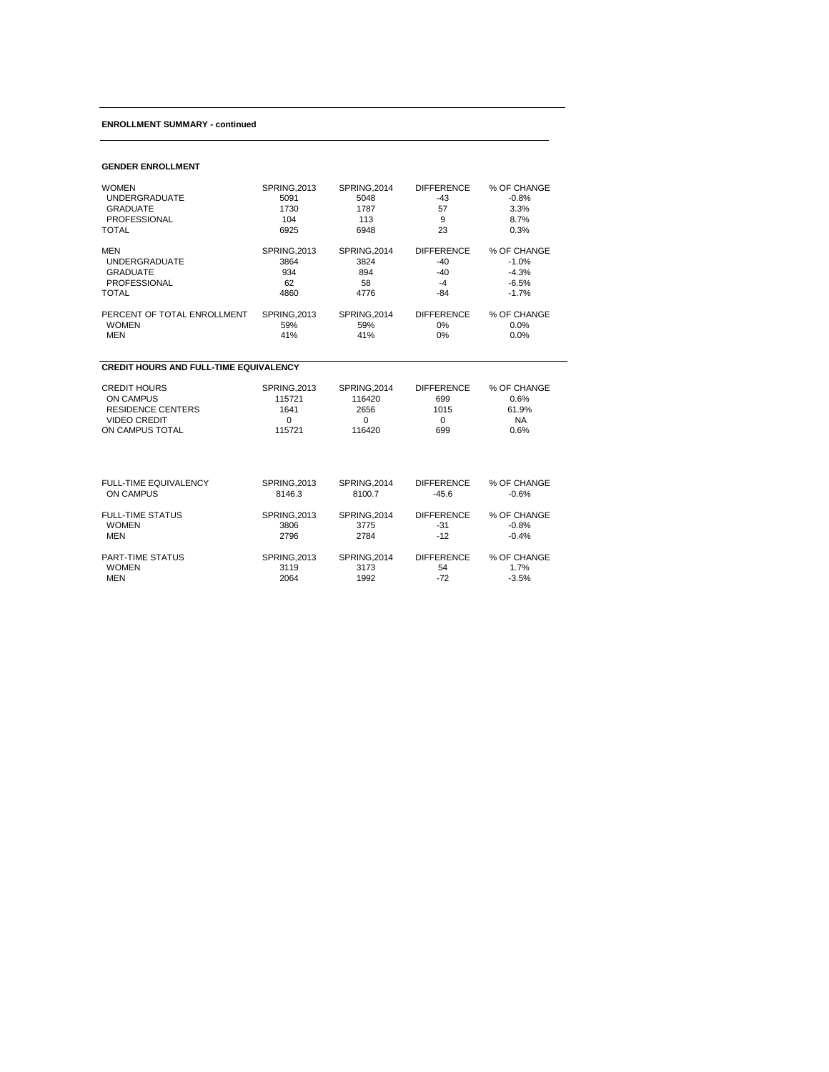## **ENROLLMENT SUMMARY - continued**

| <b>WOMEN</b>                                  | <b>SPRING, 2013</b> | <b>SPRING.2014</b> | <b>DIFFERENCE</b> | % OF CHANGE |  |  |  |  |  |
|-----------------------------------------------|---------------------|--------------------|-------------------|-------------|--|--|--|--|--|
| <b>UNDERGRADUATE</b>                          | 5091                | 5048               | $-43$             | $-0.8%$     |  |  |  |  |  |
| <b>GRADUATE</b>                               | 1730                | 1787               | 57                | 3.3%        |  |  |  |  |  |
| <b>PROFESSIONAL</b>                           | 104                 | 113                | 9                 | 8.7%        |  |  |  |  |  |
| TOTAL                                         | 6925                | 6948               | 23                | 0.3%        |  |  |  |  |  |
| <b>MEN</b>                                    | <b>SPRING, 2013</b> | SPRING, 2014       | <b>DIFFERENCE</b> | % OF CHANGE |  |  |  |  |  |
| <b>UNDERGRADUATE</b>                          | 3864                | 3824               | $-40$             | $-1.0%$     |  |  |  |  |  |
| <b>GRADUATE</b>                               | 934                 | 894                | $-40$             | $-4.3%$     |  |  |  |  |  |
| <b>PROFESSIONAL</b>                           | 62                  | 58                 | $-4$              | $-6.5%$     |  |  |  |  |  |
| <b>TOTAL</b>                                  | 4860                | 4776               | $-84$             | $-1.7%$     |  |  |  |  |  |
| PERCENT OF TOTAL ENROLLMENT                   | <b>SPRING.2013</b>  | SPRING.2014        | <b>DIFFERENCE</b> | % OF CHANGE |  |  |  |  |  |
| <b>WOMEN</b>                                  | 59%                 | 59%                | 0%                | 0.0%        |  |  |  |  |  |
| <b>MEN</b>                                    | 41%                 | 41%                | 0%                | 0.0%        |  |  |  |  |  |
| <b>CREDIT HOURS AND FULL-TIME EQUIVALENCY</b> |                     |                    |                   |             |  |  |  |  |  |
| <b>CREDIT HOURS</b>                           | <b>SPRING, 2013</b> | SPRING, 2014       | <b>DIFFERENCE</b> | % OF CHANGE |  |  |  |  |  |
| <b>ON CAMPUS</b>                              | 115721              | 116420             | 699               | 0.6%        |  |  |  |  |  |
| <b>RESIDENCE CENTERS</b>                      | 1641                | 2656               | 1015              | 61.9%       |  |  |  |  |  |
| <b>VIDEO CREDIT</b>                           | $\Omega$            | 0                  | $\Omega$          | <b>NA</b>   |  |  |  |  |  |
| ON CAMPUS TOTAL                               | 115721              | 116420             | 699               | 0.6%        |  |  |  |  |  |
| FULL-TIME EQUIVALENCY                         | <b>SPRING.2013</b>  | SPRING, 2014       | <b>DIFFERENCE</b> | % OF CHANGE |  |  |  |  |  |
| <b>ON CAMPUS</b>                              | 8146.3              | 8100.7             | $-45.6$           | $-0.6%$     |  |  |  |  |  |
| <b>FULL-TIME STATUS</b>                       | <b>SPRING, 2013</b> | SPRING, 2014       | <b>DIFFERENCE</b> | % OF CHANGE |  |  |  |  |  |
| <b>WOMEN</b>                                  | 3806                | 3775               | $-31$             | $-0.8%$     |  |  |  |  |  |

MEN 2796 2784 -12 -0.4%

PART-TIME STATUS SPRING,2013 SPRING,2014 DIFFERENCE % OF CHANGE WOMEN 3119 3173 54 1.7% 9 PART-TIME STATUS SPRING,2013 SPRING,2014 DIFFERENCE % OF CHANGE<br>
WOMEN 3119 3119 3173 54 1.7%<br>
MEN 2064 1992 -72 -3.5%